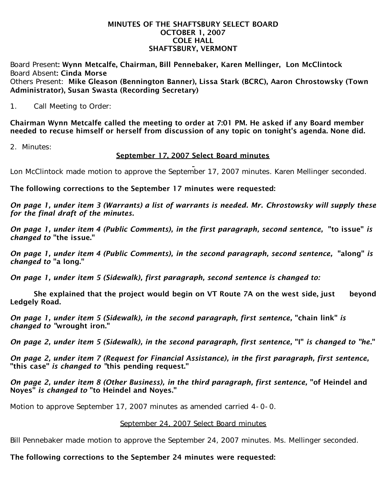#### MINUTES OF THE SHAFTSBURY SELECT BOARD OCTOBER 1, 2007 COLE HALL SHAFTSBURY, VERMONT

Board Present: Wynn Metcalfe, Chairman, Bill Pennebaker, Karen Mellinger, Lon McClintock Board Absent: Cinda Morse Others Present: Mike Gleason (Bennington Banner), Lissa Stark (BCRC), Aaron Chrostowsky (Town Administrator), Susan Swasta (Recording Secretary)

1. Call Meeting to Order:

Chairman Wynn Metcalfe called the meeting to order at 7:01 PM. He asked if any Board member needed to recuse himself or herself from discussion of any topic on tonight's agenda. None did.

2. Minutes:

## September 17, 2007 Select Board minutes

Lon McClintock made motion to approve the September 17, 2007 minutes. Karen Mellinger seconded.

The following corrections to the September 17 minutes were requested:

*On page 1, under item 3 (Warrants) a list of warrants is needed. Mr. Chrostowsky will supply these for the final draft of the minutes.*

*On page 1, under item 4 (Public Comments), in the first paragraph, second sentence,* "to issue" *is changed to* "the issue."

*On page 1, under item 4 (Public Comments), in the second paragraph, second sentence,* "along" *is changed to* "a long."

*On page 1, under item 5 (Sidewalk), first paragraph, second sentence is changed to:*

She explained that the project would begin on VT Route 7A on the west side, just beyond Ledgely Road.

*On page 1, under item 5 (Sidewalk), in the second paragraph, first sentence,* "chain link" *is changed to "*wrought iron."

*On page 2, under item 5 (Sidewalk), in the second paragraph, first sentence,* "I" *is changed to "he*."

*On page 2, under item 7 (Request for Financial Assistance), in the first paragraph, first sentence,* "this case" *is changed to "*this pending request."

*On page 2, under item 8 (Other Business), in the third paragraph, first sentence,* "of Heindel and Noyes" *is changed to* "to Heindel and Noyes."

Motion to approve September 17, 2007 minutes as amended carried 4-0-0.

#### September 24, 2007 Select Board minutes

Bill Pennebaker made motion to approve the September 24, 2007 minutes. Ms. Mellinger seconded.

## The following corrections to the September 24 minutes were requested: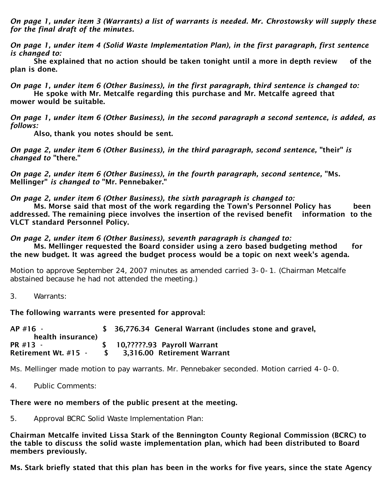*On page 1, under item 3 (Warrants) a list of warrants is needed. Mr. Chrostowsky will supply these for the final draft of the minutes.*

*On page 1, under item 4 (Solid Waste Implementation Plan), in the first paragraph, first sentence is changed to:* 

 She explained that no action should be taken tonight until a more in depth review of the plan is done.

*On page 1, under item 6 (Other Business), in the first paragraph, third sentence is changed to:* He spoke with Mr. Metcalfe regarding this purchase and Mr. Metcalfe agreed that mower would be suitable.

*On page 1, under item 6 (Other Business), in the second paragraph a second sentence, is added, as follows:*

Also, thank you notes should be sent.

*On page 2, under item 6 (Other Business), in the third paragraph, second sentence,* "their" *is changed to* "there."

*On page 2, under item 6 (Other Business), in the fourth paragraph, second sentence,* "Ms. Mellinger" *is changed to* "Mr. Pennebaker."

*On page 2, under item 6 (Other Business), the sixth paragraph is changed to:*

 Ms. Morse said that most of the work regarding the Town's Personnel Policy has been addressed. The remaining piece involves the insertion of the revised benefit information to the VLCT standard Personnel Policy.

*On page 2, under item 6 (Other Business), seventh paragraph is changed to:*

 Ms. Mellinger requested the Board consider using a zero based budgeting method for the new budget. It was agreed the budget process would be a topic on next week's agenda.

Motion to approve September 24, 2007 minutes as amended carried 3-0-1. (Chairman Metcalfe abstained because he had not attended the meeting.)

3. Warrants:

The following warrants were presented for approval:

| $AP$ #16 -<br>health insurance) |               | \$ 36,776.34 General Warrant (includes stone and gravel, |
|---------------------------------|---------------|----------------------------------------------------------|
| PR #13 -                        |               | \$ 10, ?????. 93 Payroll Warrant                         |
| <b>Retirement Wt. #15 -</b>     | $\sim$ $\sim$ | 3,316.00 Retirement Warrant                              |

Ms. Mellinger made motion to pay warrants. Mr. Pennebaker seconded. Motion carried 4-0-0.

4. Public Comments:

## There were no members of the public present at the meeting.

5. Approval BCRC Solid Waste Implementation Plan:

Chairman Metcalfe invited Lissa Stark of the Bennington County Regional Commission (BCRC) to the table to discuss the solid waste implementation plan, which had been distributed to Board members previously.

Ms. Stark briefly stated that this plan has been in the works for five years, since the state Agency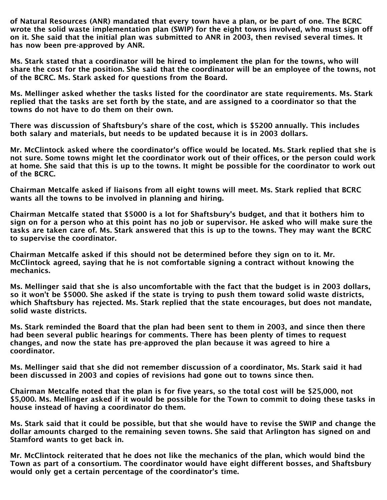of Natural Resources (ANR) mandated that every town have a plan, or be part of one. The BCRC wrote the solid waste implementation plan (SWIP) for the eight towns involved, who must sign off on it. She said that the initial plan was submitted to ANR in 2003, then revised several times. It has now been pre-approved by ANR.

Ms. Stark stated that a coordinator will be hired to implement the plan for the towns, who will share the cost for the position. She said that the coordinator will be an employee of the towns, not of the BCRC. Ms. Stark asked for questions from the Board.

Ms. Mellinger asked whether the tasks listed for the coordinator are state requirements. Ms. Stark replied that the tasks are set forth by the state, and are assigned to a coordinator so that the towns do not have to do them on their own.

There was discussion of Shaftsbury's share of the cost, which is \$5200 annually. This includes both salary and materials, but needs to be updated because it is in 2003 dollars.

Mr. McClintock asked where the coordinator's office would be located. Ms. Stark replied that she is not sure. Some towns might let the coordinator work out of their offices, or the person could work at home. She said that this is up to the towns. It might be possible for the coordinator to work out of the BCRC.

Chairman Metcalfe asked if liaisons from all eight towns will meet. Ms. Stark replied that BCRC wants all the towns to be involved in planning and hiring.

Chairman Metcalfe stated that \$5000 is a lot for Shaftsbury's budget, and that it bothers him to sign on for a person who at this point has no job or supervisor. He asked who will make sure the tasks are taken care of. Ms. Stark answered that this is up to the towns. They may want the BCRC to supervise the coordinator.

Chairman Metcalfe asked if this should not be determined before they sign on to it. Mr. McClintock agreed, saying that he is not comfortable signing a contract without knowing the mechanics.

Ms. Mellinger said that she is also uncomfortable with the fact that the budget is in 2003 dollars, so it won't be \$5000. She asked if the state is trying to push them toward solid waste districts, which Shaftsbury has rejected. Ms. Stark replied that the state encourages, but does not mandate, solid waste districts.

Ms. Stark reminded the Board that the plan had been sent to them in 2003, and since then there had been several public hearings for comments. There has been plenty of times to request changes, and now the state has pre-approved the plan because it was agreed to hire a coordinator.

Ms. Mellinger said that she did not remember discussion of a coordinator, Ms. Stark said it had been discussed in 2003 and copies of revisions had gone out to towns since then.

Chairman Metcalfe noted that the plan is for five years, so the total cost will be \$25,000, not \$5,000. Ms. Mellinger asked if it would be possible for the Town to commit to doing these tasks in house instead of having a coordinator do them.

Ms. Stark said that it could be possible, but that she would have to revise the SWIP and change the dollar amounts charged to the remaining seven towns. She said that Arlington has signed on and Stamford wants to get back in.

Mr. McClintock reiterated that he does not like the mechanics of the plan, which would bind the Town as part of a consortium. The coordinator would have eight different bosses, and Shaftsbury would only get a certain percentage of the coordinator's time.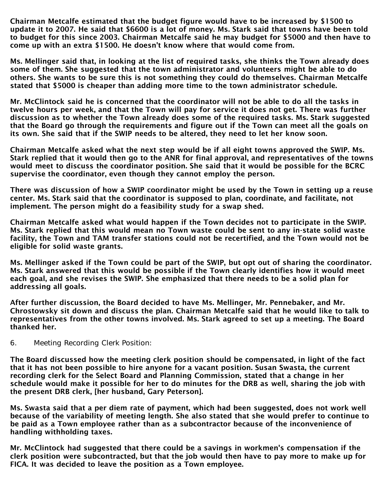Chairman Metcalfe estimated that the budget figure would have to be increased by \$1500 to update it to 2007. He said that \$6600 is a lot of money. Ms. Stark said that towns have been told to budget for this since 2003. Chairman Metcalfe said he may budget for \$5000 and then have to come up with an extra \$1500. He doesn't know where that would come from.

Ms. Mellinger said that, in looking at the list of required tasks, she thinks the Town already does some of them. She suggested that the town administrator and volunteers might be able to do others. She wants to be sure this is not something they could do themselves. Chairman Metcalfe stated that \$5000 is cheaper than adding more time to the town administrator schedule.

Mr. McClintock said he is concerned that the coordinator will not be able to do all the tasks in twelve hours per week, and that the Town will pay for service it does not get. There was further discussion as to whether the Town already does some of the required tasks. Ms. Stark suggested that the Board go through the requirements and figure out if the Town can meet all the goals on its own. She said that if the SWIP needs to be altered, they need to let her know soon.

Chairman Metcalfe asked what the next step would be if all eight towns approved the SWIP. Ms. Stark replied that it would then go to the ANR for final approval, and representatives of the towns would meet to discuss the coordinator position. She said that it would be possible for the BCRC supervise the coordinator, even though they cannot employ the person.

There was discussion of how a SWIP coordinator might be used by the Town in setting up a reuse center. Ms. Stark said that the coordinator is supposed to plan, coordinate, and facilitate, not implement. The person might do a feasibility study for a swap shed.

Chairman Metcalfe asked what would happen if the Town decides not to participate in the SWIP. Ms. Stark replied that this would mean no Town waste could be sent to any in-state solid waste facility, the Town and TAM transfer stations could not be recertified, and the Town would not be eligible for solid waste grants.

Ms. Mellinger asked if the Town could be part of the SWIP, but opt out of sharing the coordinator. Ms. Stark answered that this would be possible if the Town clearly identifies how it would meet each goal, and she revises the SWIP. She emphasized that there needs to be a solid plan for addressing all goals.

After further discussion, the Board decided to have Ms. Mellinger, Mr. Pennebaker, and Mr. Chrostowsky sit down and discuss the plan. Chairman Metcalfe said that he would like to talk to representatives from the other towns involved. Ms. Stark agreed to set up a meeting. The Board thanked her.

#### 6. Meeting Recording Clerk Position:

The Board discussed how the meeting clerk position should be compensated, in light of the fact that it has not been possible to hire anyone for a vacant position. Susan Swasta, the current recording clerk for the Select Board and Planning Commission, stated that a change in her schedule would make it possible for her to do minutes for the DRB as well, sharing the job with the present DRB clerk, [her husband, Gary Peterson].

Ms. Swasta said that a per diem rate of payment, which had been suggested, does not work well because of the variability of meeting length. She also stated that she would prefer to continue to be paid as a Town employee rather than as a subcontractor because of the inconvenience of handling withholding taxes.

Mr. McClintock had suggested that there could be a savings in workmen's compensation if the clerk position were subcontracted, but that the job would then have to pay more to make up for FICA. It was decided to leave the position as a Town employee.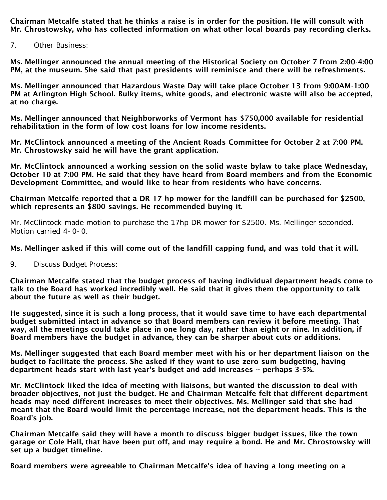Chairman Metcalfe stated that he thinks a raise is in order for the position. He will consult with Mr. Chrostowsky, who has collected information on what other local boards pay recording clerks.

7. Other Business:

Ms. Mellinger announced the annual meeting of the Historical Society on October 7 from 2:00-4:00 PM, at the museum. She said that past presidents will reminisce and there will be refreshments.

Ms. Mellinger announced that Hazardous Waste Day will take place October 13 from 9:00AM-1:00 PM at Arlington High School. Bulky items, white goods, and electronic waste will also be accepted, at no charge.

Ms. Mellinger announced that Neighborworks of Vermont has \$750,000 available for residential rehabilitation in the form of low cost loans for low income residents.

Mr. McClintock announced a meeting of the Ancient Roads Committee for October 2 at 7:00 PM. Mr. Chrostowsky said he will have the grant application.

Mr. McClintock announced a working session on the solid waste bylaw to take place Wednesday, October 10 at 7:00 PM. He said that they have heard from Board members and from the Economic Development Committee, and would like to hear from residents who have concerns.

Chairman Metcalfe reported that a DR 17 hp mower for the landfill can be purchased for \$2500, which represents an \$800 savings. He recommended buying it.

Mr. McClintock made motion to purchase the 17hp DR mower for \$2500. Ms. Mellinger seconded. Motion carried 4-0-0.

#### Ms. Mellinger asked if this will come out of the landfill capping fund, and was told that it will.

9. Discuss Budget Process:

Chairman Metcalfe stated that the budget process of having individual department heads come to talk to the Board has worked incredibly well. He said that it gives them the opportunity to talk about the future as well as their budget.

He suggested, since it is such a long process, that it would save time to have each departmental budget submitted intact in advance so that Board members can review it before meeting. That way, all the meetings could take place in one long day, rather than eight or nine. In addition, if Board members have the budget in advance, they can be sharper about cuts or additions.

Ms. Mellinger suggested that each Board member meet with his or her department liaison on the budget to facilitate the process. She asked if they want to use zero sum budgeting, having department heads start with last year's budget and add increases -- perhaps 3-5%.

Mr. McClintock liked the idea of meeting with liaisons, but wanted the discussion to deal with broader objectives, not just the budget. He and Chairman Metcalfe felt that different department heads may need different increases to meet their objectives. Ms. Mellinger said that she had meant that the Board would limit the percentage increase, not the department heads. This is the Board's job.

Chairman Metcalfe said they will have a month to discuss bigger budget issues, like the town garage or Cole Hall, that have been put off, and may require a bond. He and Mr. Chrostowsky will set up a budget timeline.

Board members were agreeable to Chairman Metcalfe's idea of having a long meeting on a